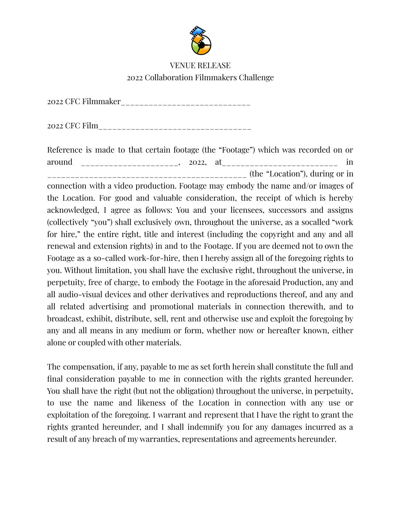

## VENUE RELEASE 2022 Collaboration Filmmakers Challenge

2022 CFC Filmmaker\_\_\_\_\_\_\_\_\_\_\_\_\_\_\_\_\_\_\_\_\_\_\_\_\_\_\_\_

2022 CFC Film\_\_\_\_\_\_\_\_\_\_\_\_\_\_\_\_\_\_\_\_\_\_\_\_\_\_\_\_\_\_\_\_\_

Reference is made to that certain footage (the "Footage") which was recorded on or around \_\_\_\_\_\_\_\_\_\_\_\_\_\_\_\_\_\_\_\_, 2022, at\_\_\_\_\_\_\_\_\_\_\_\_\_\_\_\_\_\_\_\_\_\_\_\_\_\_\_\_\_\_\_ in \_\_\_\_\_\_\_\_\_\_\_\_\_\_\_\_\_\_\_\_\_\_\_\_\_\_\_\_\_\_\_\_\_\_\_\_\_\_\_\_\_\_\_ (the "Location"), during or in

connection with a video production. Footage may embody the name and/or images of the Location. For good and valuable consideration, the receipt of which is hereby acknowledged, I agree as follows: You and your licensees, successors and assigns (collectively "you") shall exclusively own, throughout the universe, as a socalled "work for hire," the entire right, title and interest (including the copyright and any and all renewal and extension rights) in and to the Footage. If you are deemed not to own the Footage as a so-called work-for-hire, then I hereby assign all of the foregoing rights to you. Without limitation, you shall have the exclusive right, throughout the universe, in perpetuity, free of charge, to embody the Footage in the aforesaid Production, any and all audio-visual devices and other derivatives and reproductions thereof, and any and all related advertising and promotional materials in connection therewith, and to broadcast, exhibit, distribute, sell, rent and otherwise use and exploit the foregoing by any and all means in any medium or form, whether now or hereafter known, either alone or coupled with other materials.

The compensation, if any, payable to me as set forth herein shall constitute the full and final consideration payable to me in connection with the rights granted hereunder. You shall have the right (but not the obligation) throughout the universe, in perpetuity, to use the name and likeness of the Location in connection with any use or exploitation of the foregoing. I warrant and represent that I have the right to grant the rights granted hereunder, and I shall indemnify you for any damages incurred as a result of any breach of my warranties, representations and agreements hereunder.